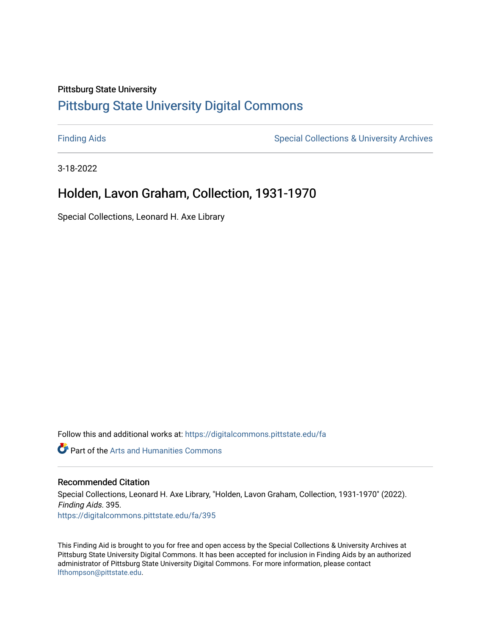#### Pittsburg State University

# [Pittsburg State University Digital Commons](https://digitalcommons.pittstate.edu/)

[Finding Aids](https://digitalcommons.pittstate.edu/fa) **Special Collections & University Archives** Special Collections & University Archives

3-18-2022

# Holden, Lavon Graham, Collection, 1931-1970

Special Collections, Leonard H. Axe Library

Follow this and additional works at: [https://digitalcommons.pittstate.edu/fa](https://digitalcommons.pittstate.edu/fa?utm_source=digitalcommons.pittstate.edu%2Ffa%2F395&utm_medium=PDF&utm_campaign=PDFCoverPages) 

**C** Part of the Arts and Humanities Commons

#### Recommended Citation

Special Collections, Leonard H. Axe Library, "Holden, Lavon Graham, Collection, 1931-1970" (2022). Finding Aids. 395. [https://digitalcommons.pittstate.edu/fa/395](https://digitalcommons.pittstate.edu/fa/395?utm_source=digitalcommons.pittstate.edu%2Ffa%2F395&utm_medium=PDF&utm_campaign=PDFCoverPages) 

This Finding Aid is brought to you for free and open access by the Special Collections & University Archives at Pittsburg State University Digital Commons. It has been accepted for inclusion in Finding Aids by an authorized administrator of Pittsburg State University Digital Commons. For more information, please contact [lfthompson@pittstate.edu.](mailto:lfthompson@pittstate.edu)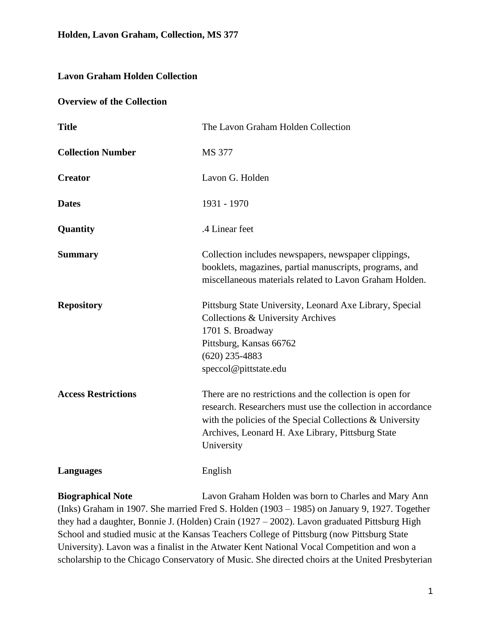## **Lavon Graham Holden Collection**

#### **Overview of the Collection**

| <b>Title</b>               | The Lavon Graham Holden Collection                                                                                                                                                                                                                         |
|----------------------------|------------------------------------------------------------------------------------------------------------------------------------------------------------------------------------------------------------------------------------------------------------|
| <b>Collection Number</b>   | MS 377                                                                                                                                                                                                                                                     |
| <b>Creator</b>             | Lavon G. Holden                                                                                                                                                                                                                                            |
| <b>Dates</b>               | 1931 - 1970                                                                                                                                                                                                                                                |
| Quantity                   | .4 Linear feet                                                                                                                                                                                                                                             |
| <b>Summary</b>             | Collection includes newspapers, newspaper clippings,<br>booklets, magazines, partial manuscripts, programs, and<br>miscellaneous materials related to Lavon Graham Holden.                                                                                 |
| <b>Repository</b>          | Pittsburg State University, Leonard Axe Library, Special<br>Collections & University Archives<br>1701 S. Broadway<br>Pittsburg, Kansas 66762<br>$(620)$ 235-4883<br>speccol@pittstate.edu                                                                  |
| <b>Access Restrictions</b> | There are no restrictions and the collection is open for<br>research. Researchers must use the collection in accordance<br>with the policies of the Special Collections $\&$ University<br>Archives, Leonard H. Axe Library, Pittsburg State<br>University |
| <b>Languages</b>           | English                                                                                                                                                                                                                                                    |

**Biographical Note** Lavon Graham Holden was born to Charles and Mary Ann (Inks) Graham in 1907. She married Fred S. Holden (1903 – 1985) on January 9, 1927. Together they had a daughter, Bonnie J. (Holden) Crain (1927 – 2002). Lavon graduated Pittsburg High School and studied music at the Kansas Teachers College of Pittsburg (now Pittsburg State University). Lavon was a finalist in the Atwater Kent National Vocal Competition and won a scholarship to the Chicago Conservatory of Music. She directed choirs at the United Presbyterian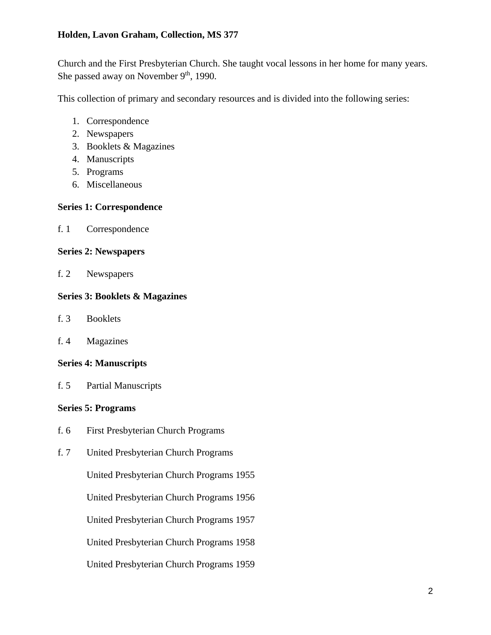### **Holden, Lavon Graham, Collection, MS 377**

Church and the First Presbyterian Church. She taught vocal lessons in her home for many years. She passed away on November 9<sup>th</sup>, 1990.

This collection of primary and secondary resources and is divided into the following series:

- 1. Correspondence
- 2. Newspapers
- 3. Booklets & Magazines
- 4. Manuscripts
- 5. Programs
- 6. Miscellaneous

### **Series 1: Correspondence**

f. 1 Correspondence

### **Series 2: Newspapers**

f. 2 Newspapers

### **Series 3: Booklets & Magazines**

- f. 3 Booklets
- f. 4 Magazines

### **Series 4: Manuscripts**

f. 5 Partial Manuscripts

### **Series 5: Programs**

- f. 6 First Presbyterian Church Programs
- f. 7 United Presbyterian Church Programs

United Presbyterian Church Programs 1955

United Presbyterian Church Programs 1956

United Presbyterian Church Programs 1957

United Presbyterian Church Programs 1958

United Presbyterian Church Programs 1959